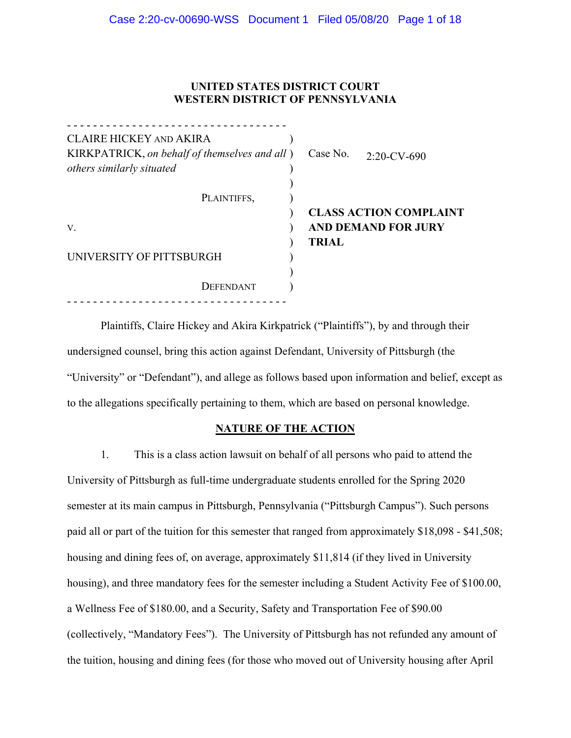## **UNITED STATES DISTRICT COURT WESTERN DISTRICT OF PENNSYLVANIA**

| CLAIRE HICKEY AND AKIRA                                                    |              |                               |
|----------------------------------------------------------------------------|--------------|-------------------------------|
| KIRKPATRICK, on behalf of themselves and all)<br>others similarly situated | Case No.     | $2:20$ -CV-690                |
|                                                                            |              |                               |
| PLAINTIFFS,                                                                |              |                               |
|                                                                            |              | <b>CLASS ACTION COMPLAINT</b> |
| $V_{\cdot}$                                                                |              | <b>AND DEMAND FOR JURY</b>    |
|                                                                            | <b>TRIAL</b> |                               |
| UNIVERSITY OF PITTSBURGH                                                   |              |                               |
|                                                                            |              |                               |
| DEFENDANT                                                                  |              |                               |
|                                                                            |              |                               |

Plaintiffs, Claire Hickey and Akira Kirkpatrick ("Plaintiffs"), by and through their undersigned counsel, bring this action against Defendant, University of Pittsburgh (the "University" or "Defendant"), and allege as follows based upon information and belief, except as to the allegations specifically pertaining to them, which are based on personal knowledge.

#### **NATURE OF THE ACTION**

1. This is a class action lawsuit on behalf of all persons who paid to attend the University of Pittsburgh as full-time undergraduate students enrolled for the Spring 2020 semester at its main campus in Pittsburgh, Pennsylvania ("Pittsburgh Campus"). Such persons paid all or part of the tuition for this semester that ranged from approximately \$18,098 - \$41,508; housing and dining fees of, on average, approximately \$11,814 (if they lived in University housing), and three mandatory fees for the semester including a Student Activity Fee of \$100.00, a Wellness Fee of \$180.00, and a Security, Safety and Transportation Fee of \$90.00 (collectively, "Mandatory Fees"). The University of Pittsburgh has not refunded any amount of the tuition, housing and dining fees (for those who moved out of University housing after April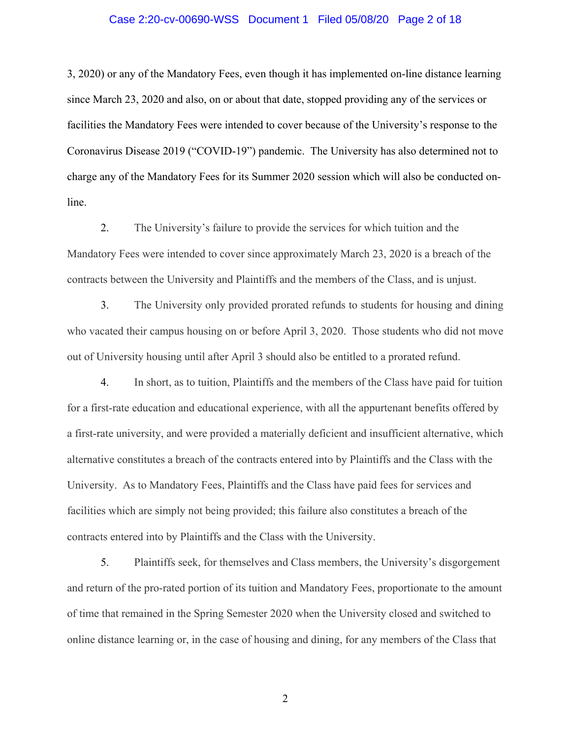#### Case 2:20-cv-00690-WSS Document 1 Filed 05/08/20 Page 2 of 18

3, 2020) or any of the Mandatory Fees, even though it has implemented on-line distance learning since March 23, 2020 and also, on or about that date, stopped providing any of the services or facilities the Mandatory Fees were intended to cover because of the University's response to the Coronavirus Disease 2019 ("COVID-19") pandemic. The University has also determined not to charge any of the Mandatory Fees for its Summer 2020 session which will also be conducted online.

2. The University's failure to provide the services for which tuition and the Mandatory Fees were intended to cover since approximately March 23, 2020 is a breach of the contracts between the University and Plaintiffs and the members of the Class, and is unjust.

3. The University only provided prorated refunds to students for housing and dining who vacated their campus housing on or before April 3, 2020. Those students who did not move out of University housing until after April 3 should also be entitled to a prorated refund.

4. In short, as to tuition, Plaintiffs and the members of the Class have paid for tuition for a first-rate education and educational experience, with all the appurtenant benefits offered by a first-rate university, and were provided a materially deficient and insufficient alternative, which alternative constitutes a breach of the contracts entered into by Plaintiffs and the Class with the University. As to Mandatory Fees, Plaintiffs and the Class have paid fees for services and facilities which are simply not being provided; this failure also constitutes a breach of the contracts entered into by Plaintiffs and the Class with the University.

5. Plaintiffs seek, for themselves and Class members, the University's disgorgement and return of the pro-rated portion of its tuition and Mandatory Fees, proportionate to the amount of time that remained in the Spring Semester 2020 when the University closed and switched to online distance learning or, in the case of housing and dining, for any members of the Class that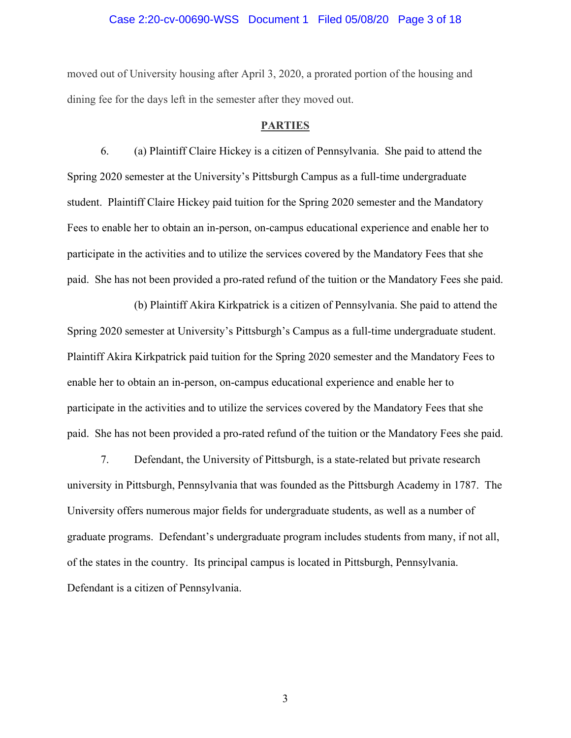#### Case 2:20-cv-00690-WSS Document 1 Filed 05/08/20 Page 3 of 18

moved out of University housing after April 3, 2020, a prorated portion of the housing and dining fee for the days left in the semester after they moved out.

### **PARTIES**

6. (a) Plaintiff Claire Hickey is a citizen of Pennsylvania. She paid to attend the Spring 2020 semester at the University's Pittsburgh Campus as a full-time undergraduate student. Plaintiff Claire Hickey paid tuition for the Spring 2020 semester and the Mandatory Fees to enable her to obtain an in-person, on-campus educational experience and enable her to participate in the activities and to utilize the services covered by the Mandatory Fees that she paid. She has not been provided a pro-rated refund of the tuition or the Mandatory Fees she paid.

(b) Plaintiff Akira Kirkpatrick is a citizen of Pennsylvania. She paid to attend the Spring 2020 semester at University's Pittsburgh's Campus as a full-time undergraduate student. Plaintiff Akira Kirkpatrick paid tuition for the Spring 2020 semester and the Mandatory Fees to enable her to obtain an in-person, on-campus educational experience and enable her to participate in the activities and to utilize the services covered by the Mandatory Fees that she paid. She has not been provided a pro-rated refund of the tuition or the Mandatory Fees she paid.

7. Defendant, the University of Pittsburgh, is a state-related but private research university in Pittsburgh, Pennsylvania that was founded as the Pittsburgh Academy in 1787. The University offers numerous major fields for undergraduate students, as well as a number of graduate programs. Defendant's undergraduate program includes students from many, if not all, of the states in the country. Its principal campus is located in Pittsburgh, Pennsylvania. Defendant is a citizen of Pennsylvania.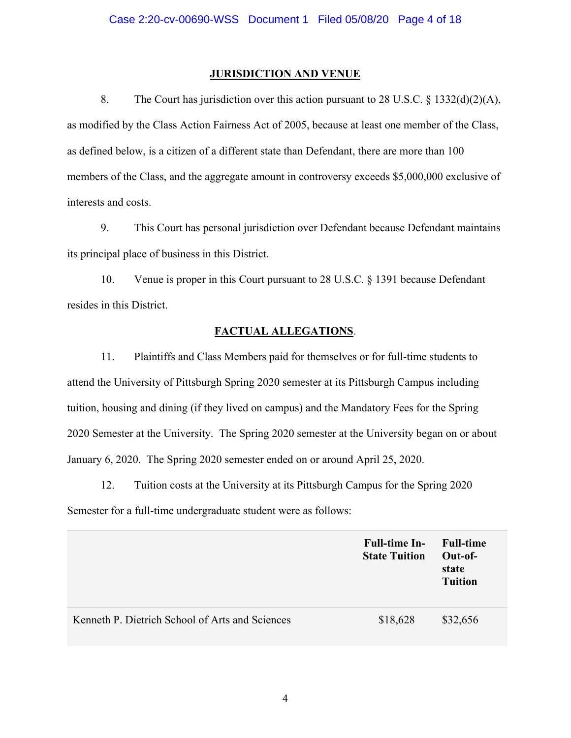## **JURISDICTION AND VENUE**

8. The Court has jurisdiction over this action pursuant to 28 U.S.C. § 1332(d)(2)(A), as modified by the Class Action Fairness Act of 2005, because at least one member of the Class, as defined below, is a citizen of a different state than Defendant, there are more than 100 members of the Class, and the aggregate amount in controversy exceeds \$5,000,000 exclusive of interests and costs.

9. This Court has personal jurisdiction over Defendant because Defendant maintains its principal place of business in this District.

10. Venue is proper in this Court pursuant to 28 U.S.C. § 1391 because Defendant resides in this District.

## **FACTUAL ALLEGATIONS**.

11. Plaintiffs and Class Members paid for themselves or for full-time students to attend the University of Pittsburgh Spring 2020 semester at its Pittsburgh Campus including tuition, housing and dining (if they lived on campus) and the Mandatory Fees for the Spring 2020 Semester at the University. The Spring 2020 semester at the University began on or about January 6, 2020. The Spring 2020 semester ended on or around April 25, 2020.

12. Tuition costs at the University at its Pittsburgh Campus for the Spring 2020 Semester for a full-time undergraduate student were as follows:

|                                                 | <b>Full-time In-</b><br><b>State Tuition</b> | <b>Full-time</b><br>$Out-of-$<br>state<br><b>Tuition</b> |
|-------------------------------------------------|----------------------------------------------|----------------------------------------------------------|
| Kenneth P. Dietrich School of Arts and Sciences | \$18,628                                     | \$32,656                                                 |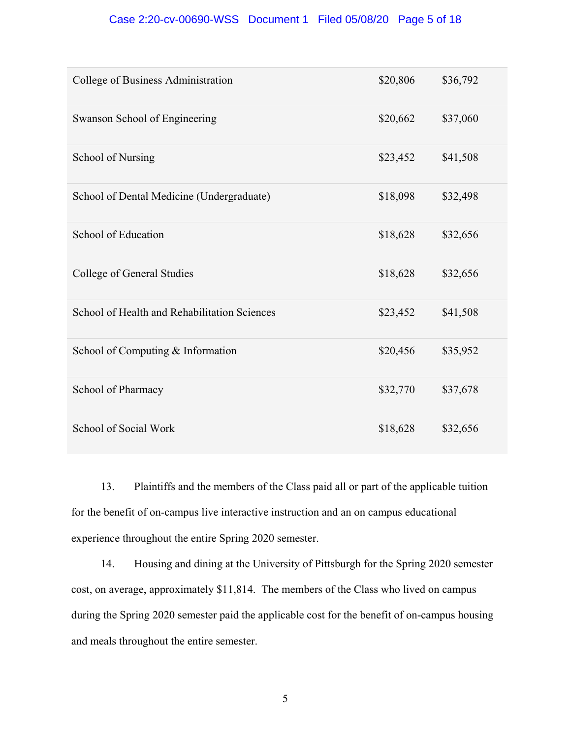## Case 2:20-cv-00690-WSS Document 1 Filed 05/08/20 Page 5 of 18

| College of Business Administration           | \$20,806 | \$36,792 |
|----------------------------------------------|----------|----------|
| Swanson School of Engineering                | \$20,662 | \$37,060 |
| School of Nursing                            | \$23,452 | \$41,508 |
| School of Dental Medicine (Undergraduate)    | \$18,098 | \$32,498 |
| School of Education                          | \$18,628 | \$32,656 |
| College of General Studies                   | \$18,628 | \$32,656 |
| School of Health and Rehabilitation Sciences | \$23,452 | \$41,508 |
| School of Computing & Information            | \$20,456 | \$35,952 |
| School of Pharmacy                           | \$32,770 | \$37,678 |
| School of Social Work                        | \$18,628 | \$32,656 |

13. Plaintiffs and the members of the Class paid all or part of the applicable tuition for the benefit of on-campus live interactive instruction and an on campus educational experience throughout the entire Spring 2020 semester.

14. Housing and dining at the University of Pittsburgh for the Spring 2020 semester cost, on average, approximately \$11,814. The members of the Class who lived on campus during the Spring 2020 semester paid the applicable cost for the benefit of on-campus housing and meals throughout the entire semester.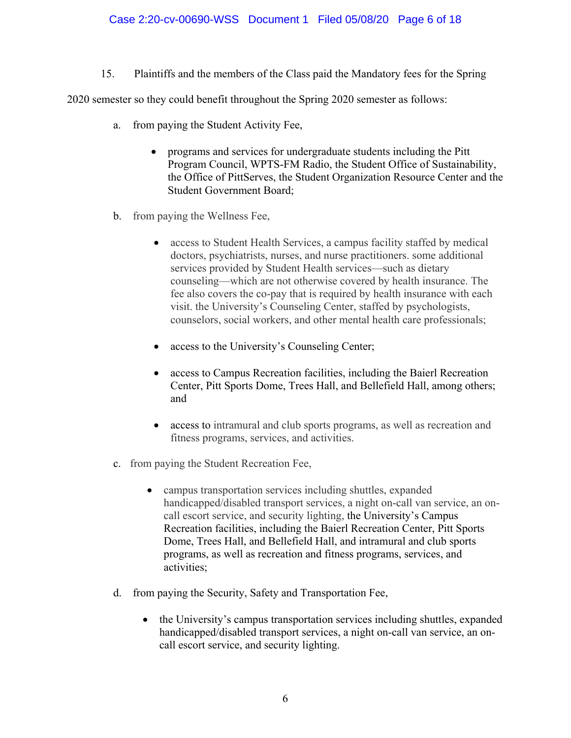15. Plaintiffs and the members of the Class paid the Mandatory fees for the Spring

2020 semester so they could benefit throughout the Spring 2020 semester as follows:

- a. from paying the Student Activity Fee,
	- programs and services for undergraduate students including the Pitt Program Council, WPTS-FM Radio, the Student Office of Sustainability, the Office of PittServes, the Student Organization Resource Center and the Student Government Board;
- b. from paying the Wellness Fee,
	- access to Student Health Services, a campus facility staffed by medical doctors, psychiatrists, nurses, and nurse practitioners. some additional services provided by Student Health services—such as dietary counseling—which are not otherwise covered by health insurance. The fee also covers the co-pay that is required by health insurance with each visit. the University's Counseling Center, staffed by psychologists, counselors, social workers, and other mental health care professionals;
	- access to the University's Counseling Center;
	- access to Campus Recreation facilities, including the Baierl Recreation Center, Pitt Sports Dome, Trees Hall, and Bellefield Hall, among others; and
	- access to intramural and club sports programs, as well as recreation and fitness programs, services, and activities.
- c. from paying the Student Recreation Fee,
	- campus transportation services including shuttles, expanded handicapped/disabled transport services, a night on-call van service, an oncall escort service, and security lighting, the University's Campus Recreation facilities, including the Baierl Recreation Center, Pitt Sports Dome, Trees Hall, and Bellefield Hall, and intramural and club sports programs, as well as recreation and fitness programs, services, and activities;
- d. from paying the Security, Safety and Transportation Fee,
	- the University's campus transportation services including shuttles, expanded handicapped/disabled transport services, a night on-call van service, an oncall escort service, and security lighting.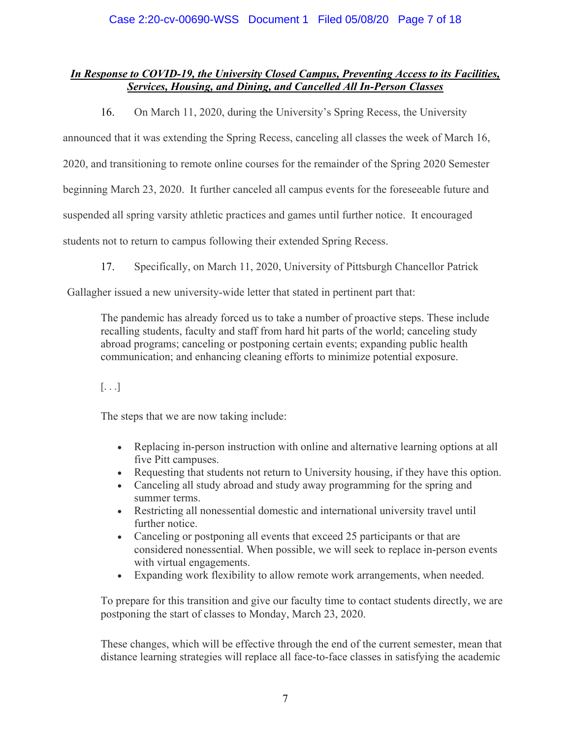## *In Response to COVID-19, the University Closed Campus, Preventing Access to its Facilities, Services, Housing, and Dining, and Cancelled All In-Person Classes*

16. On March 11, 2020, during the University's Spring Recess, the University

announced that it was extending the Spring Recess, canceling all classes the week of March 16,

2020, and transitioning to remote online courses for the remainder of the Spring 2020 Semester

beginning March 23, 2020. It further canceled all campus events for the foreseeable future and

suspended all spring varsity athletic practices and games until further notice. It encouraged

students not to return to campus following their extended Spring Recess.

17. Specifically, on March 11, 2020, University of Pittsburgh Chancellor Patrick

Gallagher issued a new university-wide letter that stated in pertinent part that:

The pandemic has already forced us to take a number of proactive steps. These include recalling students, faculty and staff from hard hit parts of the world; canceling study abroad programs; canceling or postponing certain events; expanding public health communication; and enhancing cleaning efforts to minimize potential exposure.

## $\left[\ldots\right]$

The steps that we are now taking include:

- Replacing in-person instruction with online and alternative learning options at all five Pitt campuses.
- Requesting that students not return to University housing, if they have this option.
- Canceling all study abroad and study away programming for the spring and summer terms.
- Restricting all nonessential domestic and international university travel until further notice.
- Canceling or postponing all events that exceed 25 participants or that are considered nonessential. When possible, we will seek to replace in-person events with virtual engagements.
- Expanding work flexibility to allow remote work arrangements, when needed.

To prepare for this transition and give our faculty time to contact students directly, we are postponing the start of classes to Monday, March 23, 2020.

These changes, which will be effective through the end of the current semester, mean that distance learning strategies will replace all face-to-face classes in satisfying the academic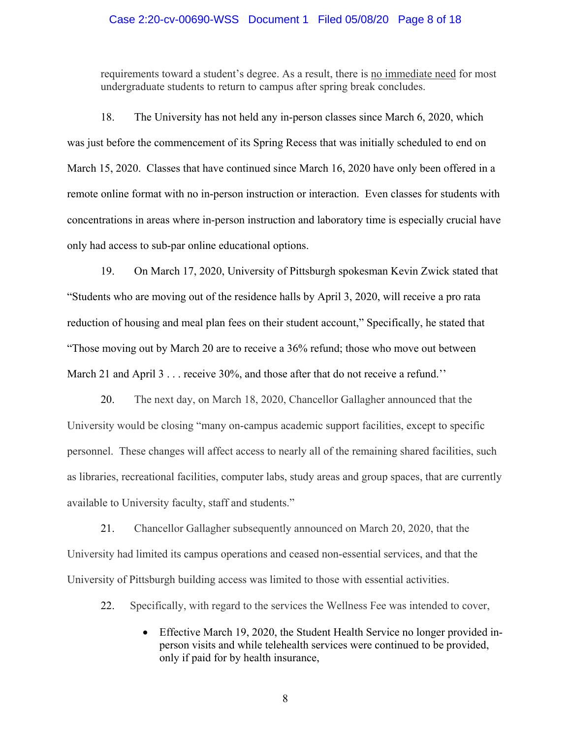#### Case 2:20-cv-00690-WSS Document 1 Filed 05/08/20 Page 8 of 18

requirements toward a student's degree. As a result, there is no immediate need for most undergraduate students to return to campus after spring break concludes.

18. The University has not held any in-person classes since March 6, 2020, which was just before the commencement of its Spring Recess that was initially scheduled to end on March 15, 2020. Classes that have continued since March 16, 2020 have only been offered in a remote online format with no in-person instruction or interaction. Even classes for students with concentrations in areas where in-person instruction and laboratory time is especially crucial have only had access to sub-par online educational options.

19. On March 17, 2020, University of Pittsburgh spokesman Kevin Zwick stated that "Students who are moving out of the residence halls by April 3, 2020, will receive a pro rata reduction of housing and meal plan fees on their student account," Specifically, he stated that "Those moving out by March 20 are to receive a 36% refund; those who move out between March 21 and April 3 . . . receive 30%, and those after that do not receive a refund.''

20. The next day, on March 18, 2020, Chancellor Gallagher announced that the University would be closing "many on-campus academic support facilities, except to specific personnel. These changes will affect access to nearly all of the remaining shared facilities, such as libraries, recreational facilities, computer labs, study areas and group spaces, that are currently available to University faculty, staff and students."

21. Chancellor Gallagher subsequently announced on March 20, 2020, that the University had limited its campus operations and ceased non-essential services, and that the University of Pittsburgh building access was limited to those with essential activities.

- 22. Specifically, with regard to the services the Wellness Fee was intended to cover,
	- Effective March 19, 2020, the Student Health Service no longer provided inperson visits and while telehealth services were continued to be provided, only if paid for by health insurance,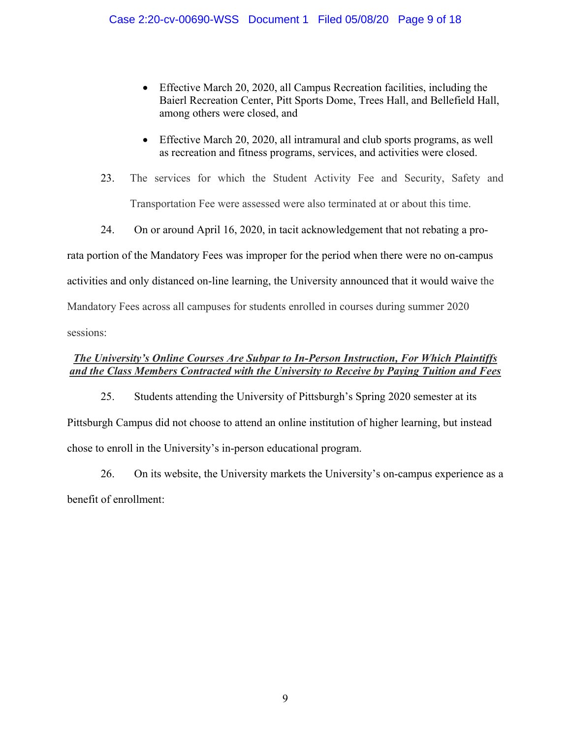- Effective March 20, 2020, all Campus Recreation facilities, including the Baierl Recreation Center, Pitt Sports Dome, Trees Hall, and Bellefield Hall, among others were closed, and
- Effective March 20, 2020, all intramural and club sports programs, as well as recreation and fitness programs, services, and activities were closed.
- 23. The services for which the Student Activity Fee and Security, Safety and Transportation Fee were assessed were also terminated at or about this time.

24. On or around April 16, 2020, in tacit acknowledgement that not rebating a prorata portion of the Mandatory Fees was improper for the period when there were no on-campus activities and only distanced on-line learning, the University announced that it would waive the Mandatory Fees across all campuses for students enrolled in courses during summer 2020 sessions:

## *The University's Online Courses Are Subpar to In-Person Instruction, For Which Plaintiffs and the Class Members Contracted with the University to Receive by Paying Tuition and Fees*

25. Students attending the University of Pittsburgh's Spring 2020 semester at its Pittsburgh Campus did not choose to attend an online institution of higher learning, but instead chose to enroll in the University's in-person educational program.

26. On its website, the University markets the University's on-campus experience as a benefit of enrollment: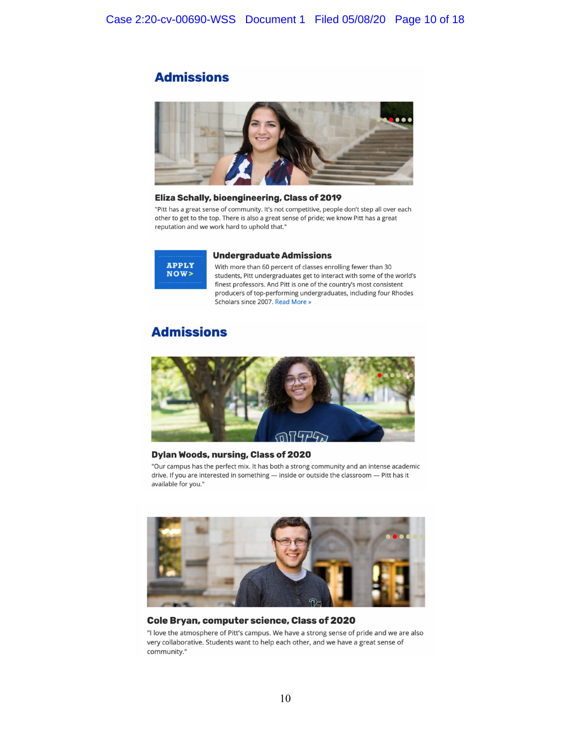## **Admissions**



#### Eliza Schally, bioengineering, Class of 2019

"Pitt has a great sense of community. It's not competitive, people don't step all over each other to get to the top. There is also a great sense of pride; we know Pitt has a great reputation and we work hard to uphold that."



#### **Undergraduate Admissions**

With more than 60 percent of classes enrolling fewer than 30 students, Pitt undergraduates get to interact with some of the world's finest professors. And Pitt is one of the country's most consistent producers of top-performing undergraduates, including four Rhodes Scholars since 2007. Read More »

## **Admissions**



#### Dylan Woods, nursing, Class of 2020

"Our campus has the perfect mix. It has both a strong community and an intense academic drive. If you are interested in something - inside or outside the classroom - Pitt has it available for you."



#### Cole Bryan, computer science, Class of 2020

"I love the atmosphere of Pitt's campus. We have a strong sense of pride and we are also very collaborative. Students want to help each other, and we have a great sense of community."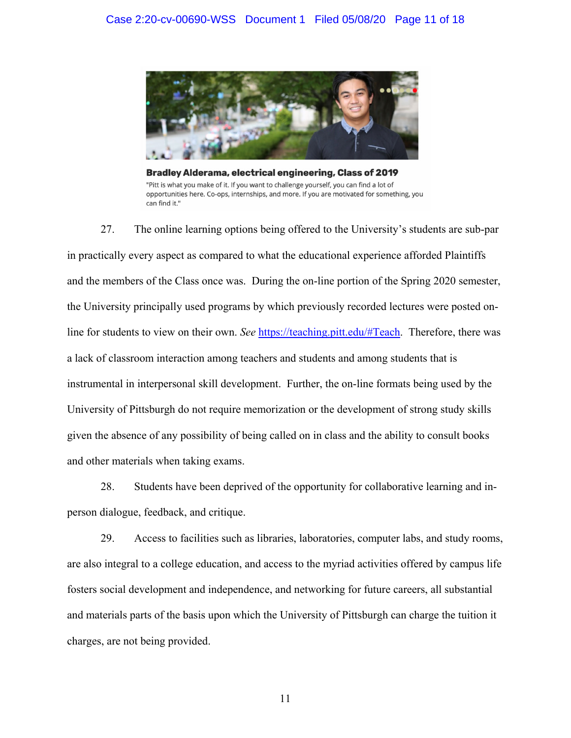

Bradley Alderama, electrical engineering, Class of 2019 "Pitt is what you make of it. If you want to challenge yourself, you can find a lot of opportunities here. Co-ops, internships, and more. If you are motivated for something, you can find it."

27. The online learning options being offered to the University's students are sub-par in practically every aspect as compared to what the educational experience afforded Plaintiffs and the members of the Class once was. During the on-line portion of the Spring 2020 semester, the University principally used programs by which previously recorded lectures were posted online for students to view on their own. *See* https://teaching.pitt.edu/#Teach. Therefore, there was a lack of classroom interaction among teachers and students and among students that is instrumental in interpersonal skill development. Further, the on-line formats being used by the University of Pittsburgh do not require memorization or the development of strong study skills given the absence of any possibility of being called on in class and the ability to consult books and other materials when taking exams.

28. Students have been deprived of the opportunity for collaborative learning and inperson dialogue, feedback, and critique.

29. Access to facilities such as libraries, laboratories, computer labs, and study rooms, are also integral to a college education, and access to the myriad activities offered by campus life fosters social development and independence, and networking for future careers, all substantial and materials parts of the basis upon which the University of Pittsburgh can charge the tuition it charges, are not being provided.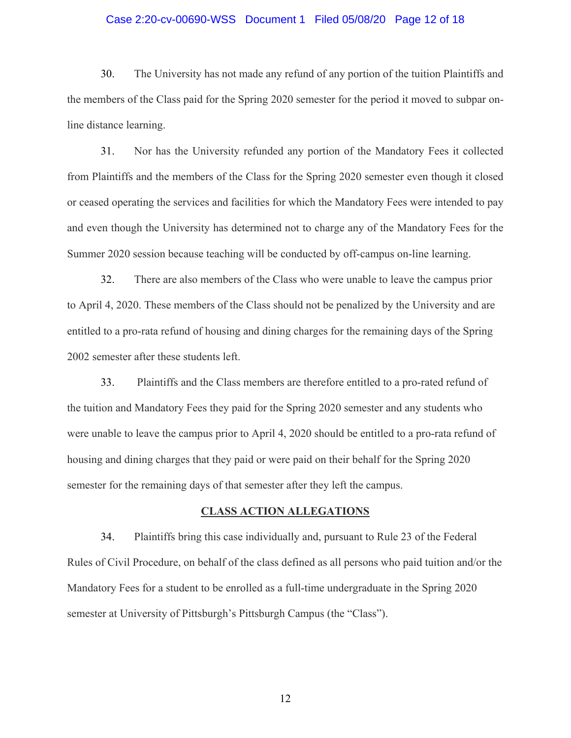#### Case 2:20-cv-00690-WSS Document 1 Filed 05/08/20 Page 12 of 18

30. The University has not made any refund of any portion of the tuition Plaintiffs and the members of the Class paid for the Spring 2020 semester for the period it moved to subpar online distance learning.

31. Nor has the University refunded any portion of the Mandatory Fees it collected from Plaintiffs and the members of the Class for the Spring 2020 semester even though it closed or ceased operating the services and facilities for which the Mandatory Fees were intended to pay and even though the University has determined not to charge any of the Mandatory Fees for the Summer 2020 session because teaching will be conducted by off-campus on-line learning.

32. There are also members of the Class who were unable to leave the campus prior to April 4, 2020. These members of the Class should not be penalized by the University and are entitled to a pro-rata refund of housing and dining charges for the remaining days of the Spring 2002 semester after these students left.

33. Plaintiffs and the Class members are therefore entitled to a pro-rated refund of the tuition and Mandatory Fees they paid for the Spring 2020 semester and any students who were unable to leave the campus prior to April 4, 2020 should be entitled to a pro-rata refund of housing and dining charges that they paid or were paid on their behalf for the Spring 2020 semester for the remaining days of that semester after they left the campus.

### **CLASS ACTION ALLEGATIONS**

34. Plaintiffs bring this case individually and, pursuant to Rule 23 of the Federal Rules of Civil Procedure, on behalf of the class defined as all persons who paid tuition and/or the Mandatory Fees for a student to be enrolled as a full-time undergraduate in the Spring 2020 semester at University of Pittsburgh's Pittsburgh Campus (the "Class").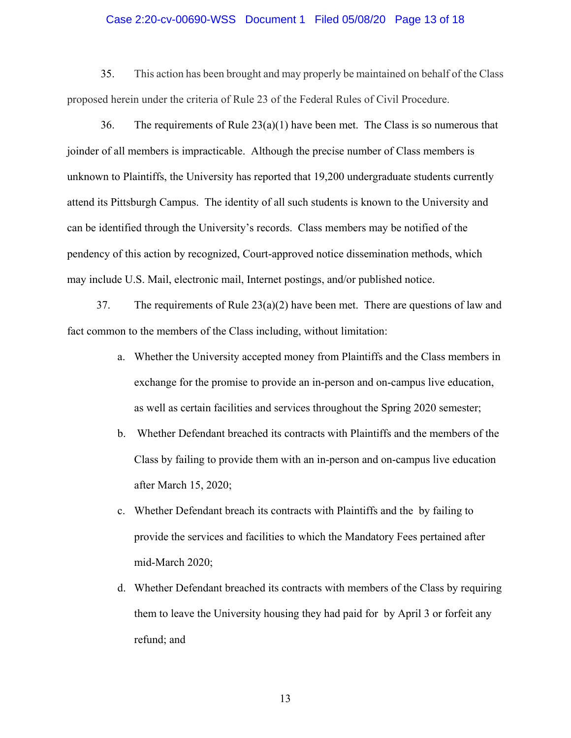#### Case 2:20-cv-00690-WSS Document 1 Filed 05/08/20 Page 13 of 18

35. This action has been brought and may properly be maintained on behalf of the Class proposed herein under the criteria of Rule 23 of the Federal Rules of Civil Procedure.

36. The requirements of Rule  $23(a)(1)$  have been met. The Class is so numerous that joinder of all members is impracticable. Although the precise number of Class members is unknown to Plaintiffs, the University has reported that 19,200 undergraduate students currently attend its Pittsburgh Campus. The identity of all such students is known to the University and can be identified through the University's records. Class members may be notified of the pendency of this action by recognized, Court-approved notice dissemination methods, which may include U.S. Mail, electronic mail, Internet postings, and/or published notice.

37. The requirements of Rule 23(a)(2) have been met. There are questions of law and fact common to the members of the Class including, without limitation:

- a. Whether the University accepted money from Plaintiffs and the Class members in exchange for the promise to provide an in-person and on-campus live education, as well as certain facilities and services throughout the Spring 2020 semester;
- b. Whether Defendant breached its contracts with Plaintiffs and the members of the Class by failing to provide them with an in-person and on-campus live education after March 15, 2020;
- c. Whether Defendant breach its contracts with Plaintiffs and the by failing to provide the services and facilities to which the Mandatory Fees pertained after mid-March 2020;
- d. Whether Defendant breached its contracts with members of the Class by requiring them to leave the University housing they had paid for by April 3 or forfeit any refund; and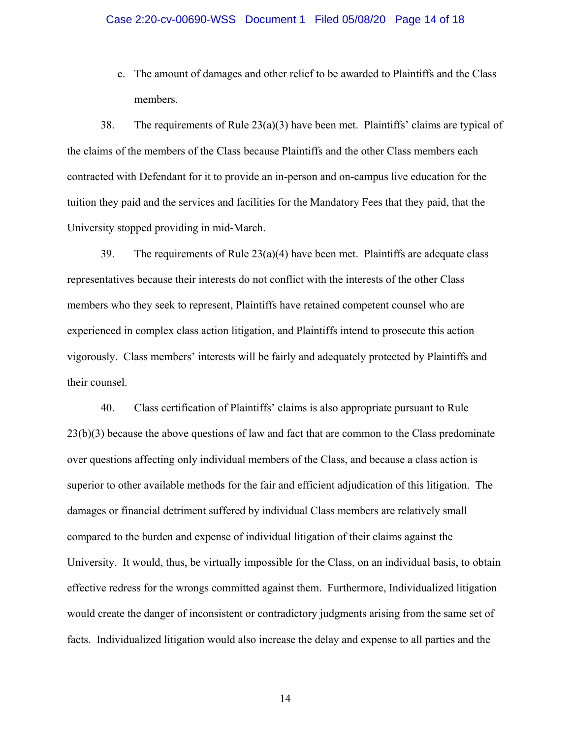#### Case 2:20-cv-00690-WSS Document 1 Filed 05/08/20 Page 14 of 18

e. The amount of damages and other relief to be awarded to Plaintiffs and the Class members.

38. The requirements of Rule 23(a)(3) have been met. Plaintiffs' claims are typical of the claims of the members of the Class because Plaintiffs and the other Class members each contracted with Defendant for it to provide an in-person and on-campus live education for the tuition they paid and the services and facilities for the Mandatory Fees that they paid, that the University stopped providing in mid-March.

39. The requirements of Rule  $23(a)(4)$  have been met. Plaintiffs are adequate class representatives because their interests do not conflict with the interests of the other Class members who they seek to represent, Plaintiffs have retained competent counsel who are experienced in complex class action litigation, and Plaintiffs intend to prosecute this action vigorously. Class members' interests will be fairly and adequately protected by Plaintiffs and their counsel.

40. Class certification of Plaintiffs' claims is also appropriate pursuant to Rule 23(b)(3) because the above questions of law and fact that are common to the Class predominate over questions affecting only individual members of the Class, and because a class action is superior to other available methods for the fair and efficient adjudication of this litigation. The damages or financial detriment suffered by individual Class members are relatively small compared to the burden and expense of individual litigation of their claims against the University. It would, thus, be virtually impossible for the Class, on an individual basis, to obtain effective redress for the wrongs committed against them. Furthermore, Individualized litigation would create the danger of inconsistent or contradictory judgments arising from the same set of facts. Individualized litigation would also increase the delay and expense to all parties and the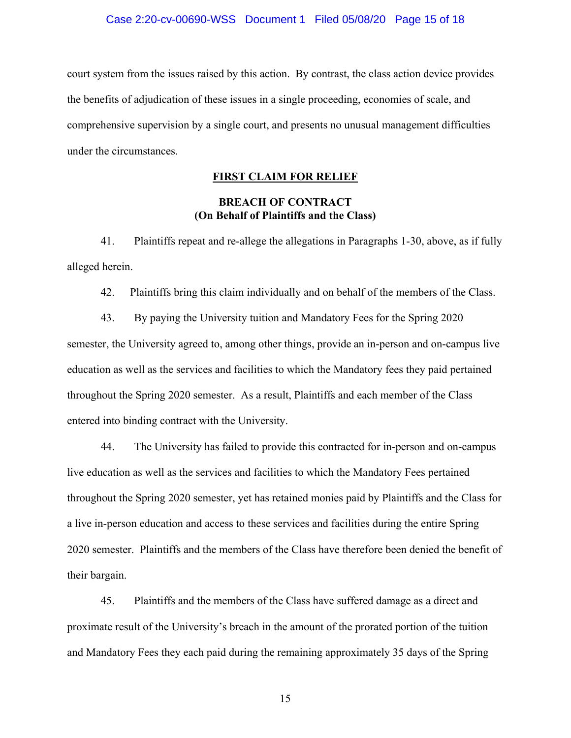#### Case 2:20-cv-00690-WSS Document 1 Filed 05/08/20 Page 15 of 18

court system from the issues raised by this action. By contrast, the class action device provides the benefits of adjudication of these issues in a single proceeding, economies of scale, and comprehensive supervision by a single court, and presents no unusual management difficulties under the circumstances.

#### **FIRST CLAIM FOR RELIEF**

## **BREACH OF CONTRACT (On Behalf of Plaintiffs and the Class)**

41. Plaintiffs repeat and re-allege the allegations in Paragraphs 1-30, above, as if fully alleged herein.

42. Plaintiffs bring this claim individually and on behalf of the members of the Class.

43. By paying the University tuition and Mandatory Fees for the Spring 2020 semester, the University agreed to, among other things, provide an in-person and on-campus live education as well as the services and facilities to which the Mandatory fees they paid pertained throughout the Spring 2020 semester. As a result, Plaintiffs and each member of the Class entered into binding contract with the University.

44. The University has failed to provide this contracted for in-person and on-campus live education as well as the services and facilities to which the Mandatory Fees pertained throughout the Spring 2020 semester, yet has retained monies paid by Plaintiffs and the Class for a live in-person education and access to these services and facilities during the entire Spring 2020 semester. Plaintiffs and the members of the Class have therefore been denied the benefit of their bargain.

45. Plaintiffs and the members of the Class have suffered damage as a direct and proximate result of the University's breach in the amount of the prorated portion of the tuition and Mandatory Fees they each paid during the remaining approximately 35 days of the Spring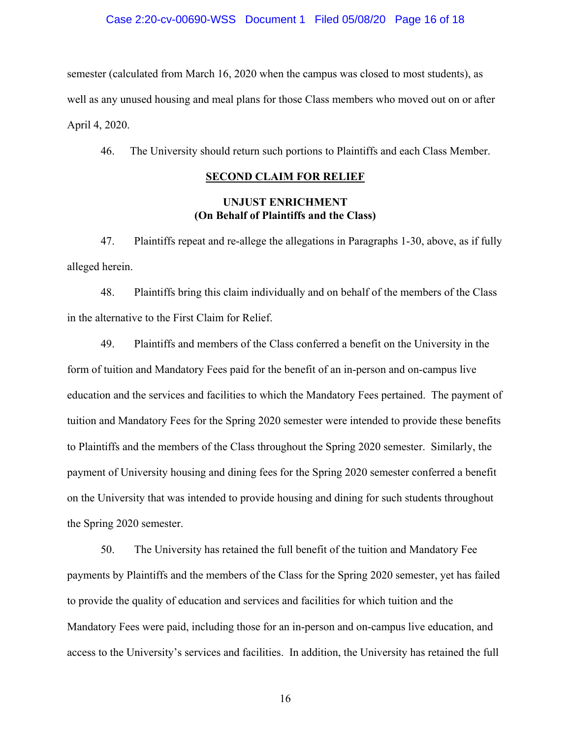#### Case 2:20-cv-00690-WSS Document 1 Filed 05/08/20 Page 16 of 18

semester (calculated from March 16, 2020 when the campus was closed to most students), as well as any unused housing and meal plans for those Class members who moved out on or after April 4, 2020.

46. The University should return such portions to Plaintiffs and each Class Member.

### **SECOND CLAIM FOR RELIEF**

## **UNJUST ENRICHMENT (On Behalf of Plaintiffs and the Class)**

47. Plaintiffs repeat and re-allege the allegations in Paragraphs 1-30, above, as if fully alleged herein.

48. Plaintiffs bring this claim individually and on behalf of the members of the Class in the alternative to the First Claim for Relief.

49. Plaintiffs and members of the Class conferred a benefit on the University in the form of tuition and Mandatory Fees paid for the benefit of an in-person and on-campus live education and the services and facilities to which the Mandatory Fees pertained. The payment of tuition and Mandatory Fees for the Spring 2020 semester were intended to provide these benefits to Plaintiffs and the members of the Class throughout the Spring 2020 semester. Similarly, the payment of University housing and dining fees for the Spring 2020 semester conferred a benefit on the University that was intended to provide housing and dining for such students throughout the Spring 2020 semester.

50. The University has retained the full benefit of the tuition and Mandatory Fee payments by Plaintiffs and the members of the Class for the Spring 2020 semester, yet has failed to provide the quality of education and services and facilities for which tuition and the Mandatory Fees were paid, including those for an in-person and on-campus live education, and access to the University's services and facilities. In addition, the University has retained the full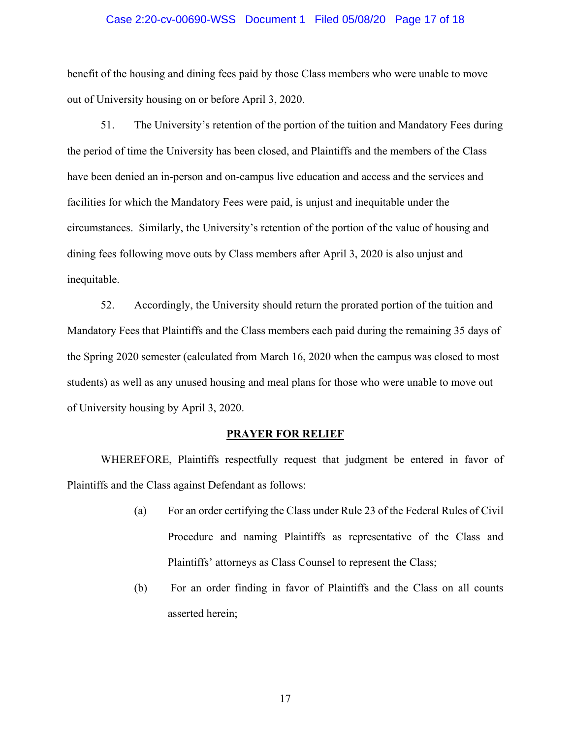#### Case 2:20-cv-00690-WSS Document 1 Filed 05/08/20 Page 17 of 18

benefit of the housing and dining fees paid by those Class members who were unable to move out of University housing on or before April 3, 2020.

51. The University's retention of the portion of the tuition and Mandatory Fees during the period of time the University has been closed, and Plaintiffs and the members of the Class have been denied an in-person and on-campus live education and access and the services and facilities for which the Mandatory Fees were paid, is unjust and inequitable under the circumstances. Similarly, the University's retention of the portion of the value of housing and dining fees following move outs by Class members after April 3, 2020 is also unjust and inequitable.

52. Accordingly, the University should return the prorated portion of the tuition and Mandatory Fees that Plaintiffs and the Class members each paid during the remaining 35 days of the Spring 2020 semester (calculated from March 16, 2020 when the campus was closed to most students) as well as any unused housing and meal plans for those who were unable to move out of University housing by April 3, 2020.

#### **PRAYER FOR RELIEF**

WHEREFORE, Plaintiffs respectfully request that judgment be entered in favor of Plaintiffs and the Class against Defendant as follows:

- (a) For an order certifying the Class under Rule 23 of the Federal Rules of Civil Procedure and naming Plaintiffs as representative of the Class and Plaintiffs' attorneys as Class Counsel to represent the Class;
- (b) For an order finding in favor of Plaintiffs and the Class on all counts asserted herein;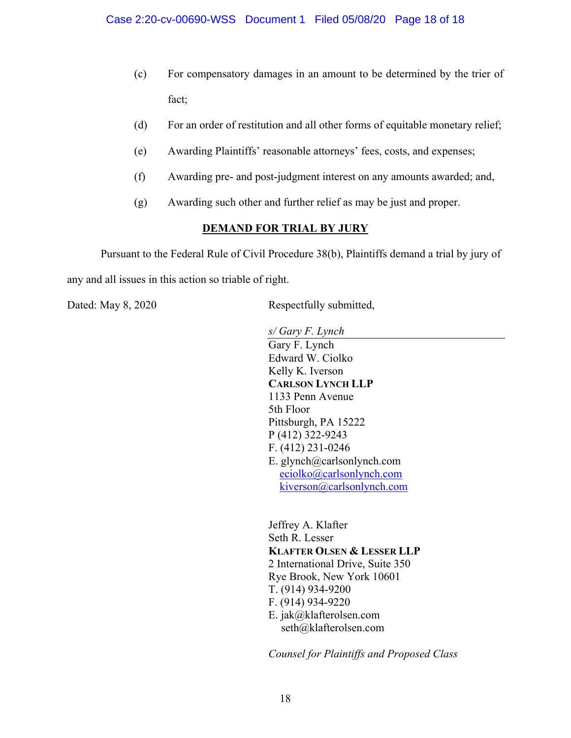- (c) For compensatory damages in an amount to be determined by the trier of fact;
- (d) For an order of restitution and all other forms of equitable monetary relief;
- (e) Awarding Plaintiffs' reasonable attorneys' fees, costs, and expenses;
- (f) Awarding pre- and post-judgment interest on any amounts awarded; and,
- (g) Awarding such other and further relief as may be just and proper.

## **DEMAND FOR TRIAL BY JURY**

 Pursuant to the Federal Rule of Civil Procedure 38(b), Plaintiffs demand a trial by jury of any and all issues in this action so triable of right.

Dated: May 8, 2020 Respectfully submitted,

*s/ Gary F. Lynch* 

Gary F. Lynch Edward W. Ciolko Kelly K. Iverson **CARLSON LYNCH LLP**  1133 Penn Avenue 5th Floor Pittsburgh, PA 15222 P (412) 322-9243 F. (412) 231-0246 E. glynch@carlsonlynch.com eciolko@carlsonlynch.com kiverson@carlsonlynch.com

Jeffrey A. Klafter Seth R. Lesser **KLAFTER OLSEN & LESSER LLP**  2 International Drive, Suite 350 Rye Brook, New York 10601 T. (914) 934-9200 F. (914) 934-9220 E. jak@klafterolsen.com seth@klafterolsen.com

*Counsel for Plaintiffs and Proposed Class*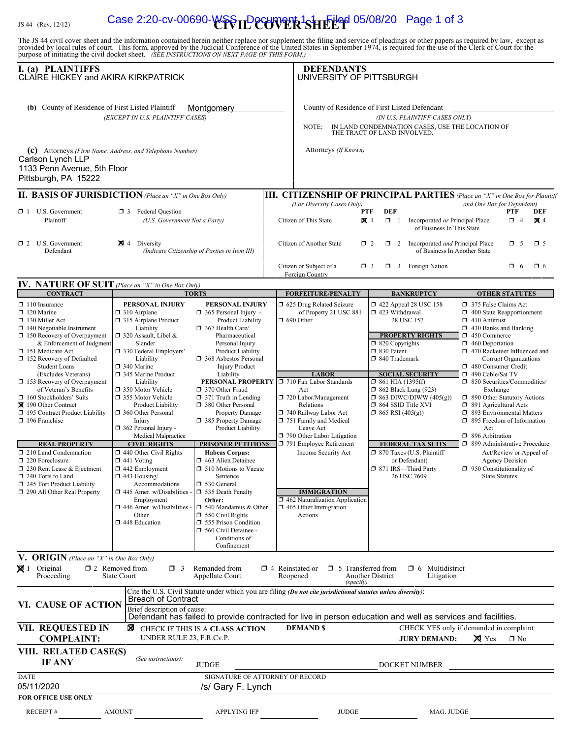# IS 44 (Rev. 12/12) Case 2:20-cv-00690-WSS ILP COVER SHEEP 05/08/20 Page 1 of 3

The JS 44 civil cover sheet and the information contained herein neither replace nor supplement the filing and service of pleadings or other papers as required by law, except as provided by local rules of court. This form, **I. (a) PLAINTIFFS DEFENDANTS** (b) County of Residence of First Listed Plaintiff Montgomery County of Residence of First Listed Defendant *(EXCEPT IN U.S. PLAINTIFF CASES) (IN U.S. PLAINTIFF CASES ONLY)* NOTE: IN LAND CONDEMNATION CASES, USE THE LOCATION OF THE TRACT OF LAND INVOLVED. **(c)** Attorneys (Firm Name, Address, and Telephone Number) **\$PALL Attorneys** (If Known) CLAIRE HICKEY and AKIRA KIRKPATRICK **Montgomery** Carlson Lynch LLP UNIVERSITY OF PITTSBURGH

|              | 1133 Penn Avenue, 5th Floor<br>Pittsburgh, PA 15222 |            |                                                                 |                            |                |        |   |                                                                                     |          |    |            |
|--------------|-----------------------------------------------------|------------|-----------------------------------------------------------------|----------------------------|----------------|--------|---|-------------------------------------------------------------------------------------|----------|----|------------|
|              |                                                     |            | <b>II. BASIS OF JURISDICTION</b> (Place an "X" in One Box Only) |                            |                |        |   | <b>III. CITIZENSHIP OF PRINCIPAL PARTIES</b> (Place an "X" in One Box for Plaintiff |          |    |            |
|              |                                                     |            |                                                                 | (For Diversity Cases Only) |                |        |   | and One Box for Defendant)                                                          |          |    |            |
| $\Box$ 1     | U.S. Government                                     | $\Box$ 3   | <b>Federal Question</b>                                         |                            | <b>PTF</b>     | DEF    |   |                                                                                     | PTF      |    | DEF        |
|              | Plaintiff                                           |            | (U.S. Government Not a Party)                                   | Citizen of This State      | $\mathbf{X}$ 1 | п.     |   | Incorporated or Principal Place<br>of Business In This State                        | $\Box$ 4 |    | <b>X</b> 4 |
| $\mathsf{Z}$ | <b>U.S. Government</b><br>Defendant                 | <b>N</b> 4 | Diversity<br>(Indicate Citizenship of Parties in Item III)      | Citizen of Another State   | $\Box$ 2       | $\Box$ | 2 | Incorporated <i>and</i> Principal Place<br>of Business In Another State             | $\Box$ 5 |    | $\Box$ 5   |
|              |                                                     |            |                                                                 | Citizen or Subject of a    | $\Box$ 3       | O.     |   | Foreign Nation                                                                      |          | -6 | FI 6.      |

Foreign Country

| IV. NATURE OF SUIT (Place an "X" in One Box Only) |       |
|---------------------------------------------------|-------|
| $C\Omega VTD$ $ACT$                               | тлртс |

| <b>CONTRACT</b>                                                                                                                                                                                                                                                                                                                                                                                                                                                                                                                                                                                                                               | <b>TORTS</b>                                                                                                                                                                                                                                                                                                                                                                                                                                                                                                                                                                                                                          |                                                                                                                                                                                                                                                                                                                                                                                                                                                                                                                                                                                                                                                                                            |                                                                                                                                                                                                                                                                                                                                                                                                                                                                                                                                                                                                                                                                                                                                                                                                                                                                                                                                                      |            | <b>OTHER STATUTES</b>                                                                                                                                                                                                                                                                                                                                                                                                                                                                                                                                                                                                 |  |  |  |
|-----------------------------------------------------------------------------------------------------------------------------------------------------------------------------------------------------------------------------------------------------------------------------------------------------------------------------------------------------------------------------------------------------------------------------------------------------------------------------------------------------------------------------------------------------------------------------------------------------------------------------------------------|---------------------------------------------------------------------------------------------------------------------------------------------------------------------------------------------------------------------------------------------------------------------------------------------------------------------------------------------------------------------------------------------------------------------------------------------------------------------------------------------------------------------------------------------------------------------------------------------------------------------------------------|--------------------------------------------------------------------------------------------------------------------------------------------------------------------------------------------------------------------------------------------------------------------------------------------------------------------------------------------------------------------------------------------------------------------------------------------------------------------------------------------------------------------------------------------------------------------------------------------------------------------------------------------------------------------------------------------|------------------------------------------------------------------------------------------------------------------------------------------------------------------------------------------------------------------------------------------------------------------------------------------------------------------------------------------------------------------------------------------------------------------------------------------------------------------------------------------------------------------------------------------------------------------------------------------------------------------------------------------------------------------------------------------------------------------------------------------------------------------------------------------------------------------------------------------------------------------------------------------------------------------------------------------------------|------------|-----------------------------------------------------------------------------------------------------------------------------------------------------------------------------------------------------------------------------------------------------------------------------------------------------------------------------------------------------------------------------------------------------------------------------------------------------------------------------------------------------------------------------------------------------------------------------------------------------------------------|--|--|--|
| $\Box$ 110 Insurance<br>$\Box$ 120 Marine<br>130 Miller Act<br>$\Box$ 140 Negotiable Instrument<br>$\Box$ 150 Recovery of Overpayment<br>& Enforcement of Judgment<br>□ 151 Medicare Act<br>□ 152 Recovery of Defaulted<br><b>Student Loans</b><br>(Excludes Veterans)<br>$\Box$ 153 Recovery of Overpayment<br>of Veteran's Benefits<br>$\Box$ 160 Stockholders' Suits<br>■ 190 Other Contract<br>195 Contract Product Liability<br>196 Franchise<br><b>REAL PROPERTY</b><br>$\Box$ 210 Land Condemnation<br>220 Foreclosure<br>230 Rent Lease & Ejectment<br>240 Torts to Land<br>245 Tort Product Liability<br>290 All Other Real Property | <b>PERSONAL INJURY</b><br>310 Airplane<br>315 Airplane Product<br>Liability<br>□ 320 Assault, Libel &<br>Slander<br>□ 330 Federal Employers'<br>Liability<br>340 Marine<br>345 Marine Product<br>Liability<br>□ 350 Motor Vehicle<br>□ 355 Motor Vehicle<br>Product Liability<br>360 Other Personal<br>Injury<br>$\Box$ 362 Personal Injury -<br>Medical Malpractice<br><b>CIVIL RIGHTS</b><br>$\Box$ 440 Other Civil Rights<br>$\Box$ 441 Voting<br>$\Box$ 442 Employment<br>$\Box$ 443 Housing/<br>Accommodations<br>$\Box$ 445 Amer. w/Disabilities -<br>Employment<br>$\Box$ 446 Amer. w/Disabilities -<br>Other<br>448 Education | <b>PERSONAL INJURY</b><br>$\Box$ 365 Personal Injury -<br>Product Liability<br>367 Health Care/<br>Pharmaceutical<br>Personal Injury<br>Product Liability<br>□ 368 Asbestos Personal<br><b>Injury Product</b><br>Liability<br>370 Other Fraud<br>$\Box$ 371 Truth in Lending<br>380 Other Personal<br><b>Property Damage</b><br>385 Property Damage<br>Product Liability<br><b>PRISONER PETITIONS</b><br><b>Habeas Corpus:</b><br>1 463 Alien Detainee<br>$\Box$ 510 Motions to Vacate<br>Sentence<br>530 General<br>535 Death Penalty<br>Other:<br>$\Box$ 540 Mandamus & Other<br>$\Box$ 550 Civil Rights<br>555 Prison Condition<br>560 Civil Detainee -<br>Conditions of<br>Confinement | <b>BANKRUPTCY</b><br><b>FORFEITURE/PENALTY</b><br>5 625 Drug Related Seizure<br>158 122 Appeal 28 USC 158<br>of Property 21 USC 881<br>423 Withdrawal<br>$\Box$ 690 Other<br>28 USC 157<br><b>PROPERTY RIGHTS</b><br>$\Box$ 820 Copyrights<br>□ 830 Patent<br>□ 840 Trademark<br><b>LABOR</b><br><b>SOCIAL SECURITY</b><br>PERSONAL PROPERTY □ 710 Fair Labor Standards<br>$\Box$ 861 HIA (1395ff)<br>$\Box$ 862 Black Lung (923)<br>Act<br>720 Labor/Management<br>$\Box$ 863 DIWC/DIWW (405(g))<br>$\Box$ 864 SSID Title XVI<br>Relations<br>740 Railway Labor Act<br>$\Box$ 865 RSI (405(g))<br>751 Family and Medical<br>Leave Act<br>790 Other Labor Litigation<br><b>FEDERAL TAX SUITS</b><br>791 Employee Retirement<br>□ 870 Taxes (U.S. Plaintiff<br>Income Security Act<br>or Defendant)<br>□ 871 IRS-Third Party<br>26 USC 7609<br><b>IMMIGRATION</b><br>$\Box$ 462 Naturalization Application<br>$\Box$ 465 Other Immigration<br>Actions |            | 375 False Claims Act<br>$\Box$ 400 State Reapportionment<br>$\Box$ 410 Antitrust<br>1 430 Banks and Banking<br>450 Commerce<br>$\Box$ 460 Deportation<br>1 470 Racketeer Influenced and<br>Corrupt Organizations<br>480 Consumer Credit<br>490 Cable/Sat TV<br>□ 850 Securities/Commodities/<br>Exchange<br>1 890 Other Statutory Actions<br>$\Box$ 891 Agricultural Acts<br>□ 893 Environmental Matters<br>$\Box$ 895 Freedom of Information<br>Act<br>□ 896 Arbitration<br>□ 899 Administrative Procedure<br>Act/Review or Appeal of<br><b>Agency Decision</b><br>950 Constitutionality of<br><b>State Statutes</b> |  |  |  |
|                                                                                                                                                                                                                                                                                                                                                                                                                                                                                                                                                                                                                                               |                                                                                                                                                                                                                                                                                                                                                                                                                                                                                                                                                                                                                                       |                                                                                                                                                                                                                                                                                                                                                                                                                                                                                                                                                                                                                                                                                            |                                                                                                                                                                                                                                                                                                                                                                                                                                                                                                                                                                                                                                                                                                                                                                                                                                                                                                                                                      |            |                                                                                                                                                                                                                                                                                                                                                                                                                                                                                                                                                                                                                       |  |  |  |
| V. ORIGIN (Place an "X" in One Box Only)<br>$\boxtimes$ 1 Original<br>$\square$ 2 Removed from<br>Remanded from<br>$\Box$ 6 Multidistrict<br>$\Box$ 3<br>$\Box$ 4 Reinstated or<br>$\Box$ 5 Transferred from<br><b>State Court</b><br>Proceeding<br>Appellate Court<br><b>Another District</b><br>Reopened<br>Litigation<br>(specify)                                                                                                                                                                                                                                                                                                         |                                                                                                                                                                                                                                                                                                                                                                                                                                                                                                                                                                                                                                       |                                                                                                                                                                                                                                                                                                                                                                                                                                                                                                                                                                                                                                                                                            |                                                                                                                                                                                                                                                                                                                                                                                                                                                                                                                                                                                                                                                                                                                                                                                                                                                                                                                                                      |            |                                                                                                                                                                                                                                                                                                                                                                                                                                                                                                                                                                                                                       |  |  |  |
| Cite the U.S. Civil Statute under which you are filing (Do not cite jurisdictional statutes unless diversity):<br><b>Breach of Contract</b><br><b>VI. CAUSE OF ACTION</b><br>Brief description of cause:<br>Defendant has failed to provide contracted for live in person education and well as services and facilities.                                                                                                                                                                                                                                                                                                                      |                                                                                                                                                                                                                                                                                                                                                                                                                                                                                                                                                                                                                                       |                                                                                                                                                                                                                                                                                                                                                                                                                                                                                                                                                                                                                                                                                            |                                                                                                                                                                                                                                                                                                                                                                                                                                                                                                                                                                                                                                                                                                                                                                                                                                                                                                                                                      |            |                                                                                                                                                                                                                                                                                                                                                                                                                                                                                                                                                                                                                       |  |  |  |
| VII. REQUESTED IN<br><b>DEMANDS</b><br>CHECK YES only if demanded in complaint:<br>⊠<br>CHECK IF THIS IS A CLASS ACTION<br>UNDER RULE 23, F.R.Cv.P.<br><b>COMPLAINT:</b><br>$\times$ Yes<br>$\square$ No<br><b>JURY DEMAND:</b>                                                                                                                                                                                                                                                                                                                                                                                                               |                                                                                                                                                                                                                                                                                                                                                                                                                                                                                                                                                                                                                                       |                                                                                                                                                                                                                                                                                                                                                                                                                                                                                                                                                                                                                                                                                            |                                                                                                                                                                                                                                                                                                                                                                                                                                                                                                                                                                                                                                                                                                                                                                                                                                                                                                                                                      |            |                                                                                                                                                                                                                                                                                                                                                                                                                                                                                                                                                                                                                       |  |  |  |
| VIII. RELATED CASE(S)<br>(See instructions):<br><b>IF ANY</b><br><b>JUDGE</b><br><b>DOCKET NUMBER</b>                                                                                                                                                                                                                                                                                                                                                                                                                                                                                                                                         |                                                                                                                                                                                                                                                                                                                                                                                                                                                                                                                                                                                                                                       |                                                                                                                                                                                                                                                                                                                                                                                                                                                                                                                                                                                                                                                                                            |                                                                                                                                                                                                                                                                                                                                                                                                                                                                                                                                                                                                                                                                                                                                                                                                                                                                                                                                                      |            |                                                                                                                                                                                                                                                                                                                                                                                                                                                                                                                                                                                                                       |  |  |  |
| <b>DATE</b>                                                                                                                                                                                                                                                                                                                                                                                                                                                                                                                                                                                                                                   |                                                                                                                                                                                                                                                                                                                                                                                                                                                                                                                                                                                                                                       | SIGNATURE OF ATTORNEY OF RECORD                                                                                                                                                                                                                                                                                                                                                                                                                                                                                                                                                                                                                                                            |                                                                                                                                                                                                                                                                                                                                                                                                                                                                                                                                                                                                                                                                                                                                                                                                                                                                                                                                                      |            |                                                                                                                                                                                                                                                                                                                                                                                                                                                                                                                                                                                                                       |  |  |  |
| 05/11/2020                                                                                                                                                                                                                                                                                                                                                                                                                                                                                                                                                                                                                                    |                                                                                                                                                                                                                                                                                                                                                                                                                                                                                                                                                                                                                                       | /s/ Gary F. Lynch                                                                                                                                                                                                                                                                                                                                                                                                                                                                                                                                                                                                                                                                          |                                                                                                                                                                                                                                                                                                                                                                                                                                                                                                                                                                                                                                                                                                                                                                                                                                                                                                                                                      |            |                                                                                                                                                                                                                                                                                                                                                                                                                                                                                                                                                                                                                       |  |  |  |
| <b>FOR OFFICE USE ONLY</b>                                                                                                                                                                                                                                                                                                                                                                                                                                                                                                                                                                                                                    |                                                                                                                                                                                                                                                                                                                                                                                                                                                                                                                                                                                                                                       |                                                                                                                                                                                                                                                                                                                                                                                                                                                                                                                                                                                                                                                                                            |                                                                                                                                                                                                                                                                                                                                                                                                                                                                                                                                                                                                                                                                                                                                                                                                                                                                                                                                                      |            |                                                                                                                                                                                                                                                                                                                                                                                                                                                                                                                                                                                                                       |  |  |  |
| <b>RECEIPT#</b>                                                                                                                                                                                                                                                                                                                                                                                                                                                                                                                                                                                                                               | <b>AMOUNT</b>                                                                                                                                                                                                                                                                                                                                                                                                                                                                                                                                                                                                                         | <b>APPLYING IFP</b>                                                                                                                                                                                                                                                                                                                                                                                                                                                                                                                                                                                                                                                                        | <b>JUDGE</b>                                                                                                                                                                                                                                                                                                                                                                                                                                                                                                                                                                                                                                                                                                                                                                                                                                                                                                                                         | MAG. JUDGE |                                                                                                                                                                                                                                                                                                                                                                                                                                                                                                                                                                                                                       |  |  |  |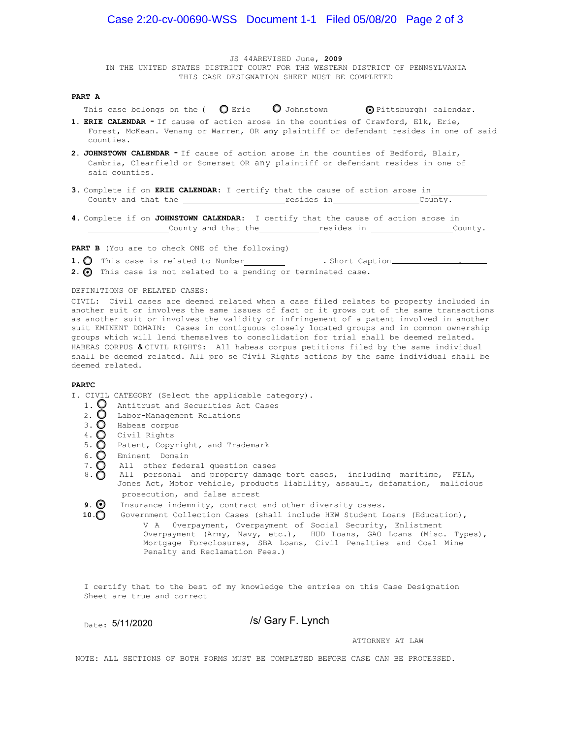JS 44AREVISED June, **2009**

IN THE UNITED STATES DISTRICT COURT FOR THE WESTERN DISTRICT OF PENNSYLVANIA THIS CASE DESIGNATION SHEET MUST BE COMPLETED

#### **PART A**

This case belongs on the (  $\bigcirc$  Erie  $\bigcirc$  Johnstown  $\bigcirc$  Pittsburgh) calendar.

- **1. ERIE CALENDAR** If cause of action arose in the counties of Crawford, Elk, Erie, Forest, McKean. Venang or Warren, OR any plaintiff or defendant resides in one of said counties.
- **2. JOHNSTOWN CALENDAR** If cause of action arose in the counties of Bedford, Blair, Cambria, Clearfield or Somerset OR any plaintiff or defendant resides in one of said counties.
- **3.** Complete if on **ERIE CALENDAR**: I certify that the cause of action arose in County and that the **resides in County.** County.
- **4.** Complete if on **JOHNSTOWN CALENDAR**: I certify that the cause of action arose in County and that the resides in County.

**PART B** (You are to check ONE of the following)

1. O This case is related to Number . Short Caption .............................

2.  $\odot$  This case is not related to a pending or terminated case.

#### DEFINlTIONS OF RELATED CASES:

CIVIL: Civil cases are deemed related when a case filed relates to property included in another suit or involves the same issues of fact or it grows out of the same transactions as another suit or involves the validity or infringement of a patent involved in another suit EMINENT DOMAIN: Cases in contiguous closely located groups and in common ownership groups which will lend themselves to consolidation for trial shall be deemed related. HABEAS CORPUS & CIVIL RIGHTS: All habeas corpus petitions filed by the same individual shall be deemed related. All pro se Civil Rights actions by the same individual shall be deemed related.

#### **PARTC**

- I. CIVIL CATEGORY (Select the applicable category).
	- 1.  $\overline{Q}$  Antitrust and Securities Act Cases
	- 2.  $\bigcirc$  Labor-Management Relations
	- 3. O Habeas corpus
	- 4. O Civil Rights
	- 5.  $\overline{O}$  Patent, Copyright, and Trademark
	-
	- All other federal question cases
	- 6. O Eminent Domain<br>7. O All other fede<br>8. O All personal All personal and property damage tort cases, including maritime, FELA, Jones Act, Motor vehicle, products liability, assault, defamation, malicious prosecution, and false arrest
	- **9.** Insurance indemnity, contract and other diversity cases.
	- **10.** Government Collection Cases (shall include HEW Student Loans (Education), V A 0verpayment, Overpayment of Social Security, Enlistment Overpayment (Army, Navy, etc.), HUD Loans, GAO Loans (Misc. Types), Mortgage Foreclosures, SBA Loans, Civil Penalties and Coal Mine Penalty and Reclamation Fees.)

I certify that to the best of my knowledge the entries on this Case Designation Sheet are true and correct

Date: 5/11/2020

/s/ Gary F. Lynch

ATTORNEY AT LAW

NOTE: ALL SECTIONS OF BOTH FORMS MUST BE COMPLETED BEFORE CASE CAN BE PROCESSED.